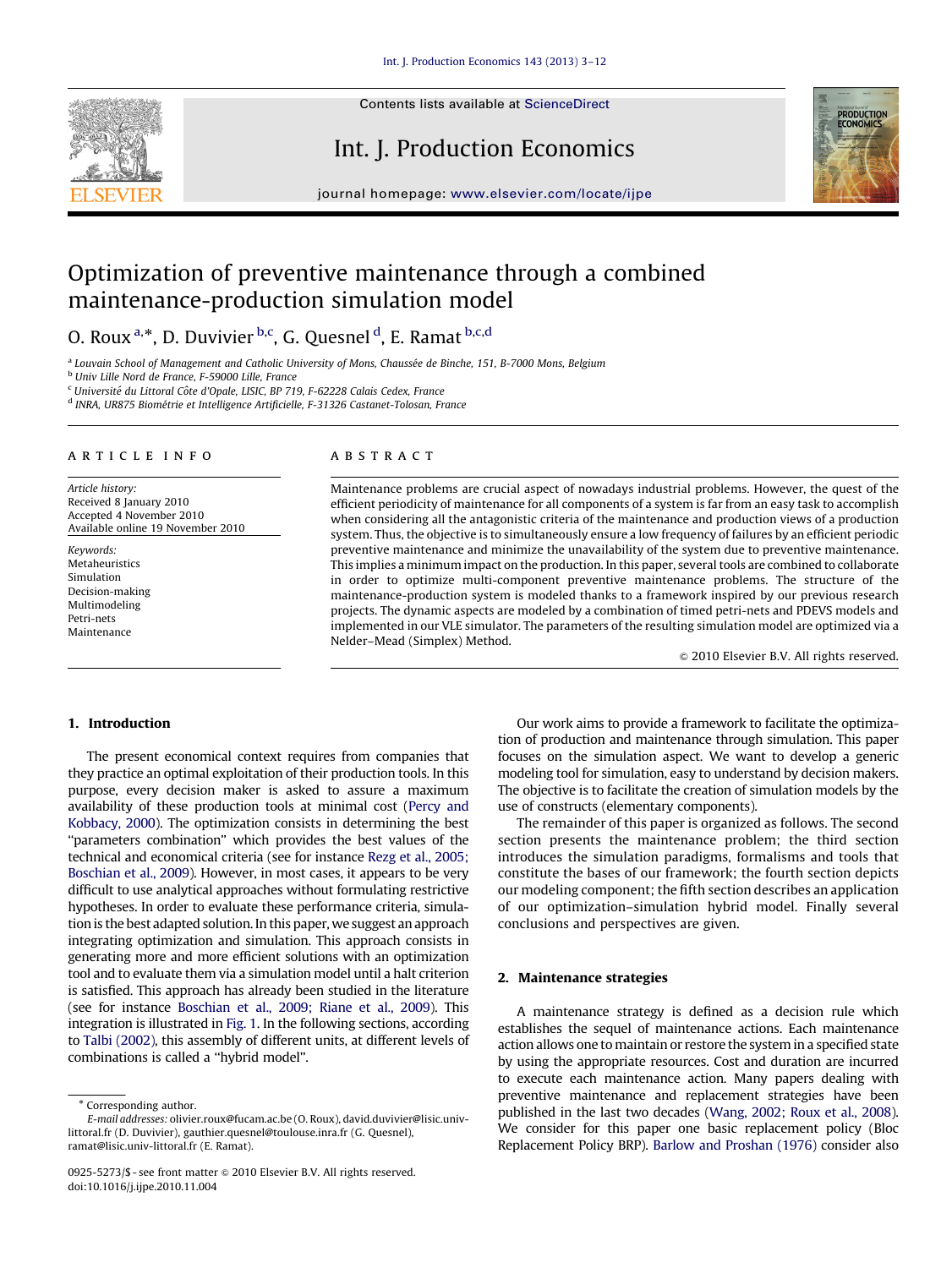Contents lists available at ScienceDirect

# Int. J. Production Economics



journal homepage: <www.elsevier.com/locate/ijpe>

# Optimization of preventive maintenance through a combined maintenance-production simulation model

O. Roux <sup>a,\*</sup>, D. Duvivier <sup>b,c</sup>, G. Quesnel <sup>d</sup>, E. Ramat <sup>b,c,d</sup>

<sup>a</sup> Louvain School of Management and Catholic University of Mons, Chaussée de Binche, 151, B-7000 Mons, Belgium

<sup>b</sup> Univ Lille Nord de France, F-59000 Lille, France

<sup>c</sup> Université du Littoral Côte d'Opale, LISIC, BP 719, F-62228 Calais Cedex, France

<sup>d</sup> INRA, UR875 Biométrie et Intelligence Artificielle, F-31326 Castanet-Tolosan, France

#### article info

Article history: Received 8 January 2010 Accepted 4 November 2010 Available online 19 November 2010

Keywords: Metaheuristics Simulation Decision-making Multimodeling Petri-nets Maintenance

## ABSTRACT

Maintenance problems are crucial aspect of nowadays industrial problems. However, the quest of the efficient periodicity of maintenance for all components of a system is far from an easy task to accomplish when considering all the antagonistic criteria of the maintenance and production views of a production system. Thus, the objective is to simultaneously ensure a low frequency of failures by an efficient periodic preventive maintenance and minimize the unavailability of the system due to preventive maintenance. This implies a minimum impact on the production. In this paper, several tools are combined to collaborate in order to optimize multi-component preventive maintenance problems. The structure of the maintenance-production system is modeled thanks to a framework inspired by our previous research projects. The dynamic aspects are modeled by a combination of timed petri-nets and PDEVS models and implemented in our VLE simulator. The parameters of the resulting simulation model are optimized via a Nelder–Mead (Simplex) Method.

 $© 2010 Elsevier B.V. All rights reserved.$ 

# 1. Introduction

The present economical context requires from companies that they practice an optimal exploitation of their production tools. In this purpose, every decision maker is asked to assure a maximum availability of these production tools at minimal cost ([Percy and](#page--1-0) [Kobbacy, 2000](#page--1-0)). The optimization consists in determining the best ''parameters combination'' which provides the best values of the technical and economical criteria (see for instance [Rezg et al., 2005;](#page--1-0) [Boschian et al., 2009](#page--1-0)). However, in most cases, it appears to be very difficult to use analytical approaches without formulating restrictive hypotheses. In order to evaluate these performance criteria, simulation is the best adapted solution. In this paper, we suggest an approach integrating optimization and simulation. This approach consists in generating more and more efficient solutions with an optimization tool and to evaluate them via a simulation model until a halt criterion is satisfied. This approach has already been studied in the literature (see for instance [Boschian et al., 2009; Riane et al., 2009](#page--1-0)). This integration is illustrated in [Fig. 1.](#page-1-0) In the following sections, according to [Talbi \(2002\),](#page--1-0) this assembly of different units, at different levels of combinations is called a ''hybrid model''.

Our work aims to provide a framework to facilitate the optimization of production and maintenance through simulation. This paper focuses on the simulation aspect. We want to develop a generic modeling tool for simulation, easy to understand by decision makers. The objective is to facilitate the creation of simulation models by the use of constructs (elementary components).

The remainder of this paper is organized as follows. The second section presents the maintenance problem; the third section introduces the simulation paradigms, formalisms and tools that constitute the bases of our framework; the fourth section depicts our modeling component; the fifth section describes an application of our optimization–simulation hybrid model. Finally several conclusions and perspectives are given.

# 2. Maintenance strategies

A maintenance strategy is defined as a decision rule which establishes the sequel of maintenance actions. Each maintenance action allows one to maintain or restore the system in a specified state by using the appropriate resources. Cost and duration are incurred to execute each maintenance action. Many papers dealing with preventive maintenance and replacement strategies have been published in the last two decades [\(Wang, 2002; Roux et al., 2008\)](#page--1-0). We consider for this paper one basic replacement policy (Bloc Replacement Policy BRP). [Barlow and Proshan \(1976\)](#page--1-0) consider also

<sup>\*</sup> Corresponding author.

E-mail addresses: [olivier.roux@fucam.ac.be \(O. Roux\),](mailto:olivier.roux@fucam.ac.be) [david.duvivier@lisic.univ](mailto:david.duvivier@lisic.univ-littoral.fr)[littoral.fr \(D. Duvivier\)](mailto:david.duvivier@lisic.univ-littoral.fr), [gauthier.quesnel@toulouse.inra.fr \(G. Quesnel\),](mailto:gauthier.quesnel@toulouse.inra.fr) [ramat@lisic.univ-littoral.fr \(E. Ramat\)](mailto:ramat@lisic.univ-littoral.fr).

<sup>0925-5273/\$ -</sup> see front matter  $\circ$  2010 Elsevier B.V. All rights reserved. doi:[10.1016/j.ijpe.2010.11.004](dx.doi.org/10.1016/j.ijpe.2010.11.004)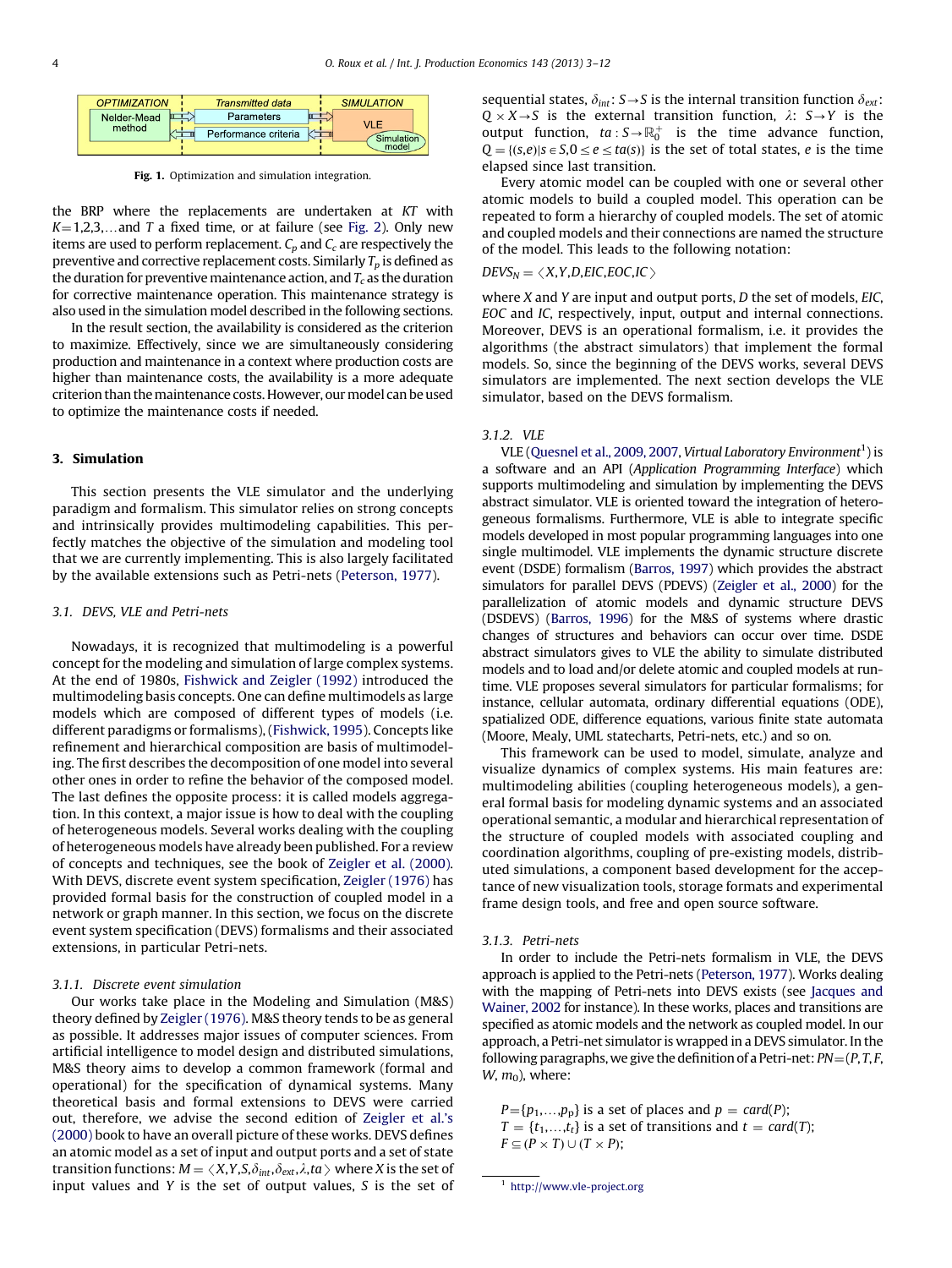<span id="page-1-0"></span>

| <b>OPTIMIZATION</b> | <b>Transmitted data</b> | <b>SIMULATION</b> |
|---------------------|-------------------------|-------------------|
| Nelder-Mead         | Parameters              |                   |
| method              | Performance criteria    | Simulation        |
|                     |                         |                   |

Fig. 1. Optimization and simulation integration.

the BRP where the replacements are undertaken at KT with  $K=1,2,3,...$  and T a fixed time, or at failure (see [Fig. 2\)](#page--1-0). Only new items are used to perform replacement.  $C_p$  and  $C_c$  are respectively the preventive and corrective replacement costs. Similarly  $T_p$  is defined as the duration for preventive maintenance action, and  $T_c$  as the duration for corrective maintenance operation. This maintenance strategy is also used in the simulation model described in the following sections.

In the result section, the availability is considered as the criterion to maximize. Effectively, since we are simultaneously considering production and maintenance in a context where production costs are higher than maintenance costs, the availability is a more adequate criterion than the maintenance costs. However, our model can be used to optimize the maintenance costs if needed.

# 3. Simulation

This section presents the VLE simulator and the underlying paradigm and formalism. This simulator relies on strong concepts and intrinsically provides multimodeling capabilities. This perfectly matches the objective of the simulation and modeling tool that we are currently implementing. This is also largely facilitated by the available extensions such as Petri-nets ([Peterson, 1977](#page--1-0)).

### 3.1. DEVS, VLE and Petri-nets

Nowadays, it is recognized that multimodeling is a powerful concept for the modeling and simulation of large complex systems. At the end of 1980s, [Fishwick and Zeigler \(1992\)](#page--1-0) introduced the multimodeling basis concepts. One can define multimodels as large models which are composed of different types of models (i.e. different paradigms or formalisms), ([Fishwick, 1995](#page--1-0)). Concepts like refinement and hierarchical composition are basis of multimodeling. The first describes the decomposition of one model into several other ones in order to refine the behavior of the composed model. The last defines the opposite process: it is called models aggregation. In this context, a major issue is how to deal with the coupling of heterogeneous models. Several works dealing with the coupling of heterogeneous models have already been published. For a review of concepts and techniques, see the book of [Zeigler et al. \(2000\).](#page--1-0) With DEVS, discrete event system specification, [Zeigler \(1976\)](#page--1-0) has provided formal basis for the construction of coupled model in a network or graph manner. In this section, we focus on the discrete event system specification (DEVS) formalisms and their associated extensions, in particular Petri-nets.

# 3.1.1. Discrete event simulation

Our works take place in the Modeling and Simulation (M&S) theory defined by [Zeigler \(1976\).](#page--1-0) M&S theory tends to be as general as possible. It addresses major issues of computer sciences. From artificial intelligence to model design and distributed simulations, M&S theory aims to develop a common framework (formal and operational) for the specification of dynamical systems. Many theoretical basis and formal extensions to DEVS were carried out, therefore, we advise the second edition of [Zeigler et al.'s](#page--1-0) [\(2000\)](#page--1-0) book to have an overall picture of these works. DEVS defines an atomic model as a set of input and output ports and a set of state transition functions:  $M = \langle X, Y, S, \delta_{int}, \delta_{ext}, \lambda, ta \rangle$  where X is the set of input values and Y is the set of output values, S is the set of sequential states,  $\delta_{int}: S \rightarrow S$  is the internal transition function  $\delta_{ext}:$  $Q \times X \rightarrow S$  is the external transition function,  $\lambda$ :  $S \rightarrow Y$  is the output function,  $ta: S \rightarrow \mathbb{R}_0^+$  is the time advance function,  $Q = \{(s,e) | s \in S, 0 \le e \le ta(s)\}\$ is the set of total states, e is the time elapsed since last transition.

Every atomic model can be coupled with one or several other atomic models to build a coupled model. This operation can be repeated to form a hierarchy of coupled models. The set of atomic and coupled models and their connections are named the structure of the model. This leads to the following notation:

#### $DEVS_N = \langle X, Y, D, EIC, EOC, IC \rangle$

where  $X$  and  $Y$  are input and output ports,  $D$  the set of models, EIC, EOC and IC, respectively, input, output and internal connections. Moreover, DEVS is an operational formalism, i.e. it provides the algorithms (the abstract simulators) that implement the formal models. So, since the beginning of the DEVS works, several DEVS simulators are implemented. The next section develops the VLE simulator, based on the DEVS formalism.

## 3.1.2. VLE

VLE [\(Quesnel et al., 2009, 2007,](#page--1-0) Virtual Laboratory Environment<sup>1</sup>) is a software and an API (Application Programming Interface) which supports multimodeling and simulation by implementing the DEVS abstract simulator. VLE is oriented toward the integration of heterogeneous formalisms. Furthermore, VLE is able to integrate specific models developed in most popular programming languages into one single multimodel. VLE implements the dynamic structure discrete event (DSDE) formalism ([Barros, 1997](#page--1-0)) which provides the abstract simulators for parallel DEVS (PDEVS) [\(Zeigler et al., 2000](#page--1-0)) for the parallelization of atomic models and dynamic structure DEVS (DSDEVS) ([Barros, 1996](#page--1-0)) for the M&S of systems where drastic changes of structures and behaviors can occur over time. DSDE abstract simulators gives to VLE the ability to simulate distributed models and to load and/or delete atomic and coupled models at runtime. VLE proposes several simulators for particular formalisms; for instance, cellular automata, ordinary differential equations (ODE), spatialized ODE, difference equations, various finite state automata (Moore, Mealy, UML statecharts, Petri-nets, etc.) and so on.

This framework can be used to model, simulate, analyze and visualize dynamics of complex systems. His main features are: multimodeling abilities (coupling heterogeneous models), a general formal basis for modeling dynamic systems and an associated operational semantic, a modular and hierarchical representation of the structure of coupled models with associated coupling and coordination algorithms, coupling of pre-existing models, distributed simulations, a component based development for the acceptance of new visualization tools, storage formats and experimental frame design tools, and free and open source software.

#### 3.1.3. Petri-nets

In order to include the Petri-nets formalism in VLE, the DEVS approach is applied to the Petri-nets [\(Peterson, 1977](#page--1-0)). Works dealing with the mapping of Petri-nets into DEVS exists (see [Jacques and](#page--1-0) [Wainer, 2002](#page--1-0) for instance). In these works, places and transitions are specified as atomic models and the network as coupled model. In our approach, a Petri-net simulator is wrapped in a DEVS simulator. In the following paragraphs, we give the definition of a Petri-net:  $PN = (P, T, F, T)$  $W, m_0$ ), where:

 $P = \{p_1,...,p_p\}$  is a set of places and  $p = \text{card}(P)$ ;  $T = \{t_1, \ldots, t_t\}$  is a set of transitions and  $t = \text{card}(T)$ ;  $F \subseteq (P \times T) \cup (T \times P);$ 

<sup>1</sup> <http://www.vle-project.org>